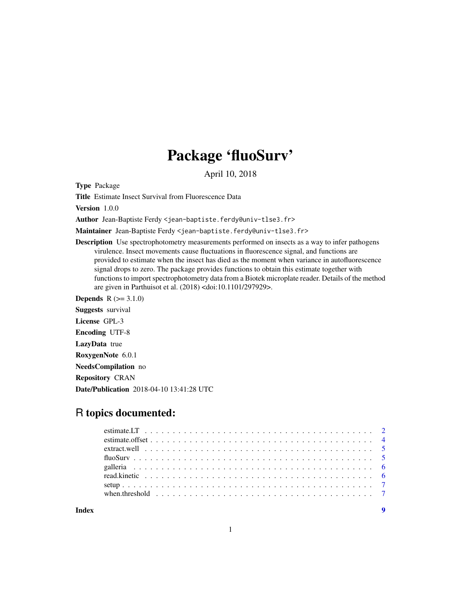## Package 'fluoSurv'

April 10, 2018

Type Package

Title Estimate Insect Survival from Fluorescence Data

Version 1.0.0

Author Jean-Baptiste Ferdy <jean-baptiste.ferdy@univ-tlse3.fr>

Maintainer Jean-Baptiste Ferdy <jean-baptiste.ferdy@univ-tlse3.fr>

**Description** Use spectrophotometry measurements performed on insects as a way to infer pathogens virulence. Insect movements cause fluctuations in fluorescence signal, and functions are provided to estimate when the insect has died as the moment when variance in autofluorescence signal drops to zero. The package provides functions to obtain this estimate together with functions to import spectrophotometry data from a Biotek microplate reader. Details of the method are given in Parthuisot et al. (2018) <doi:10.1101/297929>.

**Depends**  $R (= 3.1.0)$ Suggests survival License GPL-3 Encoding UTF-8 LazyData true RoxygenNote 6.0.1 NeedsCompilation no Repository CRAN

Date/Publication 2018-04-10 13:41:28 UTC

### R topics documented:

| when threshold $\ldots \ldots \ldots \ldots \ldots \ldots \ldots \ldots \ldots \ldots \ldots \ldots \ldots$ |  |
|-------------------------------------------------------------------------------------------------------------|--|
|                                                                                                             |  |

**Index** [9](#page-8-0)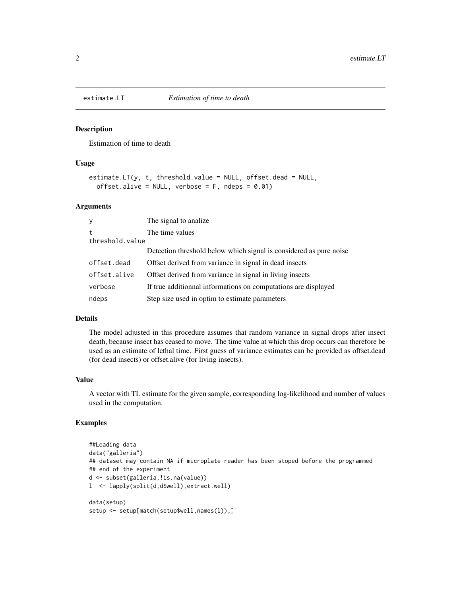<span id="page-1-1"></span><span id="page-1-0"></span>

#### Description

Estimation of time to death

#### Usage

```
estimate.LT(y, t, threshold.value = NULL, offset.dead = NULL,
 offset.alive = NULL, verbose = F, ndeps = 0.01)
```
#### Arguments

| y               | The signal to analize.                                             |
|-----------------|--------------------------------------------------------------------|
| t               | The time values                                                    |
| threshold.value |                                                                    |
|                 | Detection threshold below which signal is considered as pure noise |
| offset.dead     | Offset derived from variance in signal in dead insects             |
| offset.alive    | Offset derived from variance in signal in living insects           |
| verbose         | If true additionnal informations on computations are displayed     |
| ndeps           | Step size used in optim to estimate parameters                     |

#### Details

The model adjusted in this procedure assumes that random variance in signal drops after insect death, because insect has ceased to move. The time value at which this drop occurs can therefore be used as an estimate of lethal time. First guess of variance estimates can be provided as offset.dead (for dead insects) or offset.alive (for living insects).

#### Value

A vector with TL estimate for the given sample, corresponding log-likelihood and number of values used in the computation.

#### Examples

```
##Loading data
data("galleria")
## dataset may contain NA if microplate reader has been stoped before the programmed
## end of the experiment
d <- subset(galleria,!is.na(value))
l <- lapply(split(d,d$well),extract.well)
data(setup)
setup <- setup[match(setup$well,names(l)),]
```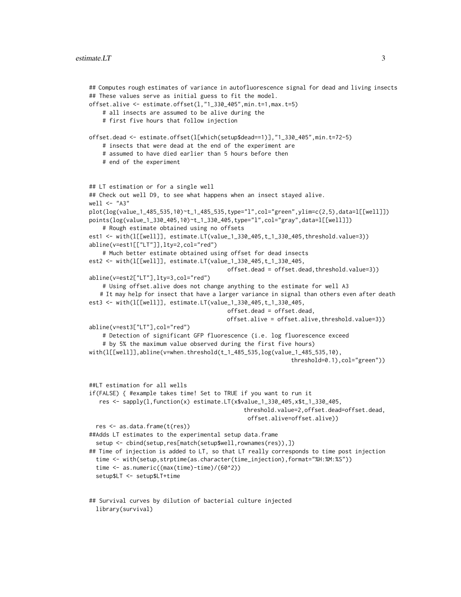```
## Computes rough estimates of variance in autofluorescence signal for dead and living insects
## These values serve as initial guess to fit the model.
offset.alive <- estimate.offset(l,"1_330_405",min.t=1,max.t=5)
    # all insects are assumed to be alive during the
    # first five hours that follow injection
offset.dead <- estimate.offset(l[which(setup$dead==1)],"1_330_405",min.t=72-5)
    # insects that were dead at the end of the experiment are
    # assumed to have died earlier than 5 hours before then
    # end of the experiment
## LT estimation or for a single well
## Check out well D9, to see what happens when an insect stayed alive.
well <- "A3"
plot(log(value_1_485_535,10)~t_1_485_535,type="l",col="green",ylim=c(2,5),data=l[[well]])
points(log(value_1_330_405,10)~t_1_330_405,type="l",col="gray",data=l[[well]])
    # Rough estimate obtained using no offsets
est1 <- with(l[[well]], estimate.LT(value_1_330_405,t_1_330_405,threshold.value=3))
abline(v=est1[["LT"]],lty=2,col="red")
    # Much better estimate obtained using offset for dead insects
est2 <- with(l[[well]], estimate.LT(value_1_330_405,t_1_330_405,
                                         offset.dead = offset.dead,threshold.value=3))
abline(v=est2["LT"],lty=3,col="red")
    # Using offset.alive does not change anything to the estimate for well A3
   # It may help for insect that have a larger variance in signal than others even after death
est3 <- with(l[[well]], estimate.LT(value_1_330_405,t_1_330_405,
                                         offset.dead = offset.dead,
                                         offset.alive = offset.alive,threshold.value=3))
abline(v=est3["LT"],col="red")
    # Detection of significant GFP fluorescence (i.e. log fluorescence exceed
    # by 5% the maximum value observed during the first five hours)
with(1[[[well]],abline('=when.threshold(t_1_485_535,log('value_1_485_535,10)].threshold=0.1),col="green"))
##LT estimation for all wells
if(FALSE) { #example takes time! Set to TRUE if you want to run it
   res <- sapply(l,function(x) estimate.LT(x$value_1_330_405,x$t_1_330_405,
                                              threshold.value=2,offset.dead=offset.dead,
                                               offset.alive=offset.alive))
 res <- as.data.frame(t(res))
##Adds LT estimates to the experimental setup data.frame
  setup <- cbind(setup,res[match(setup$well,rownames(res)),])
## Time of injection is added to LT, so that LT really corresponds to time post injection
 time <- with(setup,strptime(as.character(time_injection),format="%H:%M:%S"))
 time <- as.numeric((max(time)-time)/(60^2))
 setup$LT <- setup$LT+time
## Survival curves by dilution of bacterial culture injected
```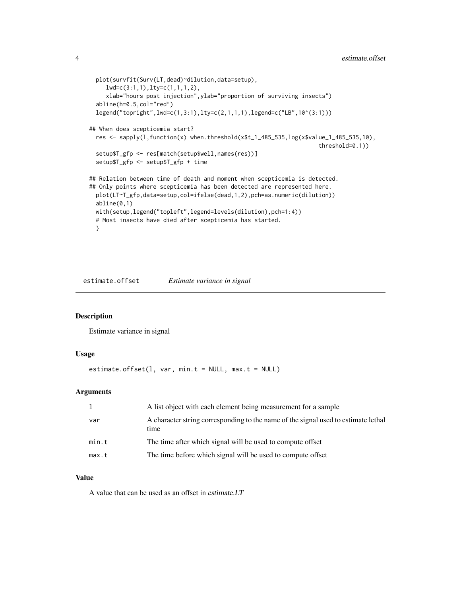```
plot(survfit(Surv(LT,dead)~dilution,data=setup),
     lwd=c(3:1,1),lty=c(1,1,1,2),
     xlab="hours post injection",ylab="proportion of surviving insects")
 abline(h=0.5,col="red")
 legend("topright",lwd=c(1,3:1),lty=c(2,1,1,1),legend=c("LB",10^(3:1)))
## When does scepticemia start?
 res \leq sapply(1, function(x) when.threshold(x$t_1_485_535,log(x$value_1_485_535,10),
                                                                    threshold=0.1))
 setup$T_gfp <- res[match(setup$well,names(res))]
 setup$T_gfp <- setup$T_gfp + time
## Relation between time of death and moment when scepticemia is detected.
## Only points where scepticemia has been detected are represented here.
 plot(LT~T_gfp,data=setup,col=ifelse(dead,1,2),pch=as.numeric(dilution))
 abline(0,1)
 with(setup,legend("topleft",legend=levels(dilution),pch=1:4))
 # Most insects have died after scepticemia has started.
 }
```
estimate.offset *Estimate variance in signal*

#### Description

Estimate variance in signal

#### Usage

```
estimate.offset(1, var, min.t = NULL, max.t = NULL)
```
#### **Arguments**

|       | A list object with each element being measurement for a sample                             |
|-------|--------------------------------------------------------------------------------------------|
| var   | A character string corresponding to the name of the signal used to estimate lethal<br>time |
| min.t | The time after which signal will be used to compute offset                                 |
| max.t | The time before which signal will be used to compute offset                                |

#### Value

A value that can be used as an offset in estimate.LT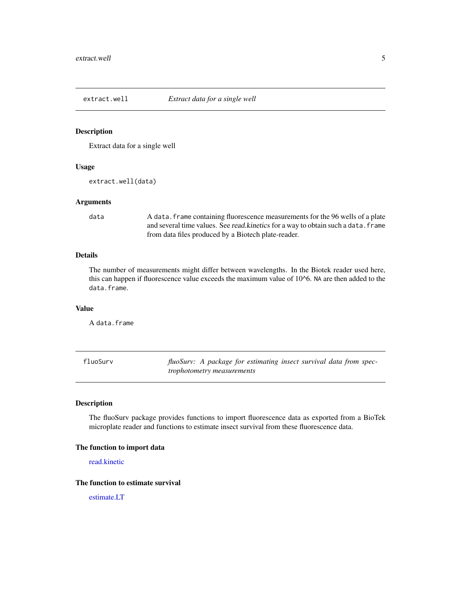<span id="page-4-0"></span>

#### Description

Extract data for a single well

#### Usage

extract.well(data)

#### Arguments

data A data.frame containing fluorescence measurements for the 96 wells of a plate and several time values. See read.kinetics for a way to obtain such a data. frame from data files produced by a Biotech plate-reader.

#### Details

The number of measurements might differ between wavelengths. In the Biotek reader used here, this can happen if fluorescence value exceeds the maximum value of 10^6. NA are then added to the data.frame.

#### Value

A data.frame

| fluoSurv |                                   |  | fluoSurv: A package for estimating insect survival data from spec- |  |  |  |
|----------|-----------------------------------|--|--------------------------------------------------------------------|--|--|--|
|          | <i>trophotometry measurements</i> |  |                                                                    |  |  |  |

#### Description

The fluoSurv package provides functions to import fluorescence data as exported from a BioTek microplate reader and functions to estimate insect survival from these fluorescence data.

#### The function to import data

[read.kinetic](#page-5-1)

#### The function to estimate survival

[estimate.LT](#page-1-1)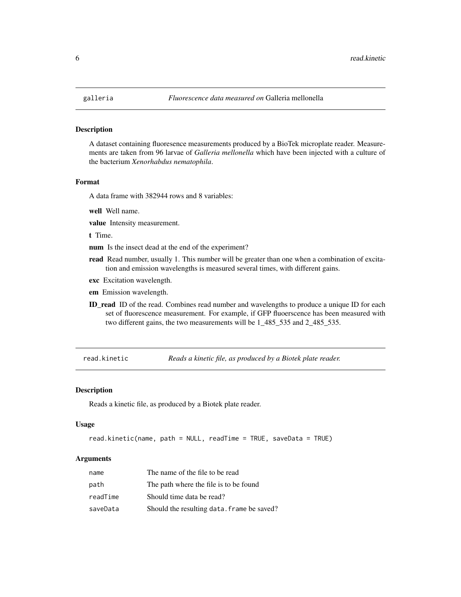#### Description

A dataset containing fluoresence measurements produced by a BioTek microplate reader. Measurements are taken from 96 larvae of *Galleria mellonella* which have been injected with a culture of the bacterium *Xenorhabdus nematophila*.

#### Format

A data frame with 382944 rows and 8 variables:

well Well name.

value Intensity measurement.

t Time.

num Is the insect dead at the end of the experiment?

- read Read number, usually 1. This number will be greater than one when a combination of excitation and emission wavelengths is measured several times, with different gains.
- exc Excitation wavelength.
- em Emission wavelength.
- ID\_read ID of the read. Combines read number and wavelengths to produce a unique ID for each set of fluorescence measurement. For example, if GFP fluoerscence has been measured with two different gains, the two measurements will be 1\_485\_535 and 2\_485\_535.

<span id="page-5-1"></span>read.kinetic *Reads a kinetic file, as produced by a Biotek plate reader.*

#### **Description**

Reads a kinetic file, as produced by a Biotek plate reader.

#### Usage

```
read.kinetic(name, path = NULL, readTime = TRUE, saveData = TRUE)
```
#### **Arguments**

| name     | The name of the file to be read            |
|----------|--------------------------------------------|
| path     | The path where the file is to be found     |
| readTime | Should time data be read?                  |
| saveData | Should the resulting data. frame be saved? |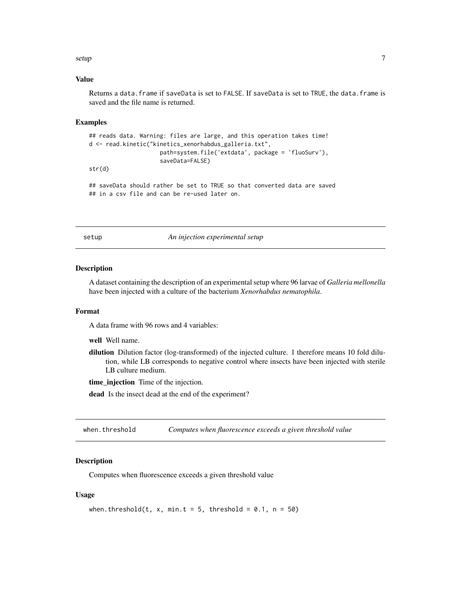#### <span id="page-6-0"></span>setup 7 and 3 and 3 and 3 and 3 and 3 and 3 and 3 and 3 and 3 and 3 and 3 and 3 and 3 and 3 and 3 and 3 and 3 and 3 and 3 and 3 and 3 and 3 and 3 and 3 and 3 and 3 and 3 and 3 and 3 and 3 and 3 and 3 and 3 and 3 and 3 and

#### Value

Returns a data.frame if saveData is set to FALSE. If saveData is set to TRUE, the data.frame is saved and the file name is returned.

#### Examples

```
## reads data. Warning: files are large, and this operation takes time!
d <- read.kinetic("kinetics_xenorhabdus_galleria.txt",
                     path=system.file('extdata', package = 'fluoSurv'),
                     saveData=FALSE)
str(d)
```
## saveData should rather be set to TRUE so that converted data are saved ## in a csv file and can be re-used later on.

setup *An injection experimental setup*

#### Description

A dataset containing the description of an experimental setup where 96 larvae of *Galleria mellonella* have been injected with a culture of the bacterium *Xenorhabdus nematophila*.

#### Format

A data frame with 96 rows and 4 variables:

well Well name.

dilution Dilution factor (log-transformed) of the injected culture. 1 therefore means 10 fold dilution, while LB corresponds to negative control where insects have been injected with sterile LB culture medium.

time\_injection Time of the injection.

dead Is the insect dead at the end of the experiment?

when.threshold *Computes when fluorescence exceeds a given threshold value*

#### Description

Computes when fluorescence exceeds a given threshold value

#### Usage

```
when.threshold(t, x, min.t = 5, threshold = 0.1, n = 50)
```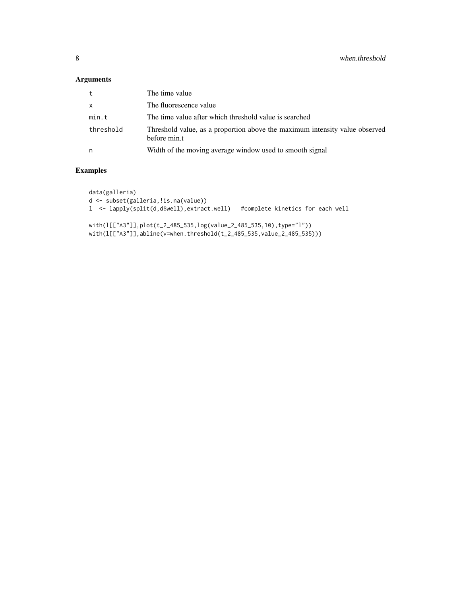#### Arguments

| t         | The time value                                                                              |
|-----------|---------------------------------------------------------------------------------------------|
| X         | The fluorescence value                                                                      |
| min.t     | The time value after which threshold value is searched                                      |
| threshold | Threshold value, as a proportion above the maximum intensity value observed<br>before min.t |
| n         | Width of the moving average window used to smooth signal                                    |

#### Examples

```
data(galleria)
d <- subset(galleria,!is.na(value))
l <- lapply(split(d,d$well),extract.well) #complete kinetics for each well
with(l[["A3"]],plot(t_2_485_535,log(value_2_485_535,10),type="l"))
```
with(l[["A3"]],abline(v=when.threshold(t\_2\_485\_535,value\_2\_485\_535)))